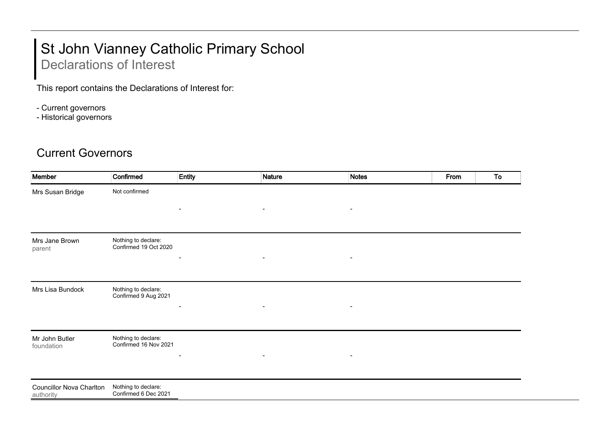## St John Vianney Catholic Primary School

## Declarations of Interest

This report contains the Declarations of Interest for:

- Current governors
- Historical governors

## Current Governors

| Confirmed                                    | <b>Entity</b>            | <b>Nature</b>            | <b>Notes</b>   | From | To |
|----------------------------------------------|--------------------------|--------------------------|----------------|------|----|
| Not confirmed                                |                          |                          |                |      |    |
|                                              | $\blacksquare$           | $\blacksquare$           | $\blacksquare$ |      |    |
|                                              |                          |                          |                |      |    |
| Nothing to declare:<br>Confirmed 19 Oct 2020 |                          |                          |                |      |    |
|                                              |                          | $\blacksquare$           |                |      |    |
| Nothing to declare:<br>Confirmed 9 Aug 2021  |                          |                          |                |      |    |
|                                              |                          | $\overline{\phantom{a}}$ |                |      |    |
| Nothing to declare:<br>Confirmed 16 Nov 2021 |                          |                          |                |      |    |
|                                              | $\overline{\phantom{0}}$ | $\blacksquare$           |                |      |    |
| Nothing to declare:<br>Confirmed 6 Dec 2021  |                          |                          |                |      |    |
|                                              |                          |                          |                |      |    |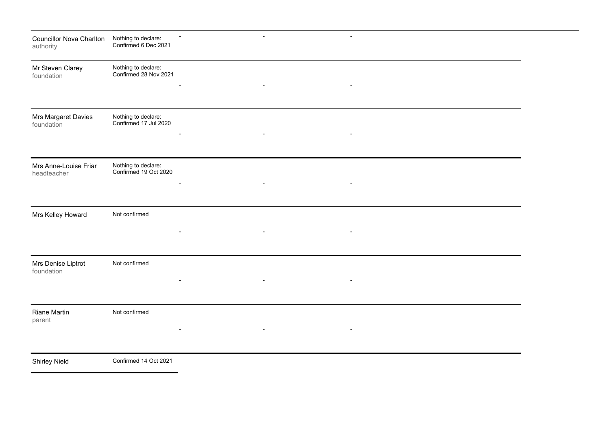| <b>Councillor Nova Charlton</b><br>authority | Nothing to declare:<br>Confirmed 6 Dec 2021  |                          | $\overline{\phantom{a}}$ |                          |  |  |
|----------------------------------------------|----------------------------------------------|--------------------------|--------------------------|--------------------------|--|--|
| Mr Steven Clarey<br>foundation               | Nothing to declare:<br>Confirmed 28 Nov 2021 |                          | $\blacksquare$           | $\overline{\phantom{a}}$ |  |  |
|                                              |                                              |                          |                          |                          |  |  |
| Mrs Margaret Davies<br>foundation            | Nothing to declare:<br>Confirmed 17 Jul 2020 |                          |                          |                          |  |  |
|                                              |                                              |                          |                          |                          |  |  |
| Mrs Anne-Louise Friar<br>headteacher         | Nothing to declare:<br>Confirmed 19 Oct 2020 |                          |                          |                          |  |  |
|                                              |                                              |                          |                          |                          |  |  |
| Mrs Kelley Howard                            | Not confirmed                                |                          |                          |                          |  |  |
|                                              |                                              |                          |                          |                          |  |  |
| Mrs Denise Liptrot<br>foundation             | Not confirmed                                | $\overline{\phantom{0}}$ | $\blacksquare$           |                          |  |  |
|                                              |                                              |                          |                          |                          |  |  |
| Riane Martin<br>parent                       | Not confirmed                                |                          | $\blacksquare$           | $\blacksquare$           |  |  |
|                                              |                                              |                          |                          |                          |  |  |
| <b>Shirley Nield</b>                         | Confirmed 14 Oct 2021                        |                          |                          |                          |  |  |
|                                              |                                              |                          |                          |                          |  |  |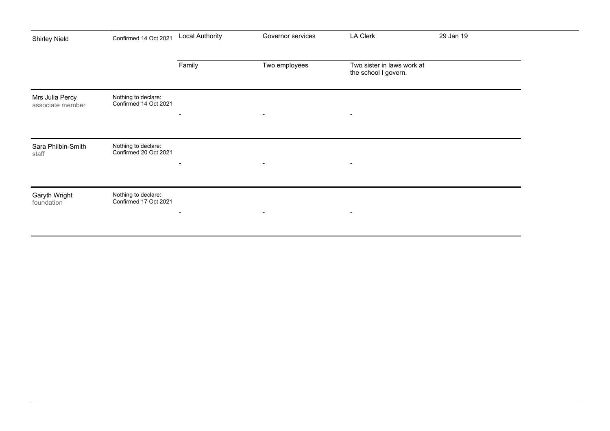| <b>Shirley Nield</b>                | Confirmed 14 Oct 2021                        | <b>Local Authority</b>   | Governor services        | <b>LA Clerk</b>                                    | 29 Jan 19 |
|-------------------------------------|----------------------------------------------|--------------------------|--------------------------|----------------------------------------------------|-----------|
|                                     |                                              |                          |                          |                                                    |           |
|                                     |                                              | Family                   | Two employees            | Two sister in laws work at<br>the school I govern. |           |
| Mrs Julia Percy<br>associate member | Nothing to declare:<br>Confirmed 14 Oct 2021 | $\blacksquare$           | $\blacksquare$           | $\blacksquare$                                     |           |
|                                     |                                              |                          |                          |                                                    |           |
| Sara Philbin-Smith<br>staff         | Nothing to declare:<br>Confirmed 20 Oct 2021 | $\overline{\phantom{a}}$ | $\overline{\phantom{a}}$ | $\overline{\phantom{a}}$                           |           |
|                                     |                                              |                          |                          |                                                    |           |
| Garyth Wright<br>foundation         | Nothing to declare:<br>Confirmed 17 Oct 2021 | $\blacksquare$           | $\sim$                   | $\overline{\phantom{a}}$                           |           |
|                                     |                                              |                          |                          |                                                    |           |